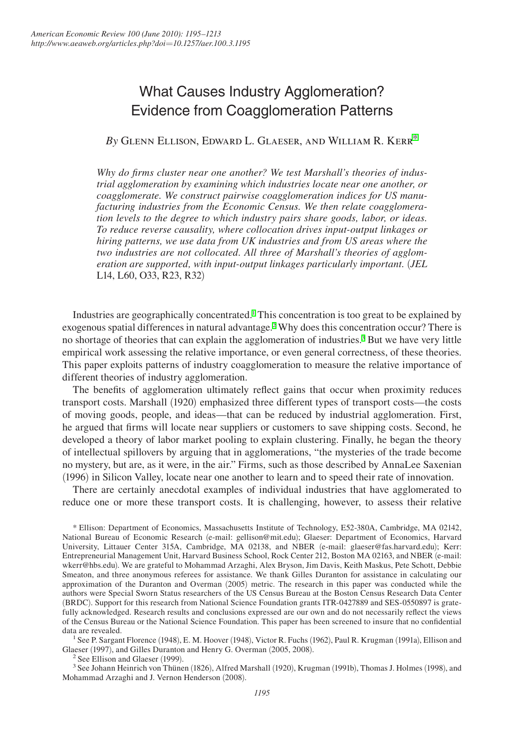# What Causes Industry Agglomeration? Evidence from Coagglomeration Patterns

*By* Glenn Ellison, Edward L. Glaeser, and William R. Kerr\*

*Why do firms cluster near one another? We test Marshall's theories of industrial agglomeration by examining which industries locate near one another, or coagglomerate. We construct pairwise coagglomeration indices for US manufacturing industries from the Economic Census. We then relate coagglomeration levels to the degree to which industry pairs share goods, labor, or ideas. To reduce reverse causality, where collocation drives input-output linkages or hiring patterns, we use data from UK industries and from US areas where the two industries are not collocated. All three of Marshall's theories of agglomeration are supported, with input-output linkages particularly important.* (*JEL*  L14, L60, O33, R23, R32)

Industries are geographically concentrated.1 This concentration is too great to be explained by exogenous spatial differences in natural advantage.<sup>2</sup> Why does this concentration occur? There is no shortage of theories that can explain the agglomeration of industries.<sup>3</sup> But we have very little empirical work assessing the relative importance, or even general correctness, of these theories. This paper exploits patterns of industry coagglomeration to measure the relative importance of different theories of industry agglomeration.

The benefits of agglomeration ultimately reflect gains that occur when proximity reduces transport costs. Marshall (1920) emphasized three different types of transport costs—the costs of moving goods, people, and ideas—that can be reduced by industrial agglomeration. First, he argued that firms will locate near suppliers or customers to save shipping costs. Second, he developed a theory of labor market pooling to explain clustering. Finally, he began the theory of intellectual spillovers by arguing that in agglomerations, "the mysteries of the trade become no mystery, but are, as it were, in the air." Firms, such as those described by AnnaLee Saxenian (1996) in Silicon Valley, locate near one another to learn and to speed their rate of innovation.

There are certainly anecdotal examples of individual industries that have agglomerated to reduce one or more these transport costs. It is challenging, however, to assess their relative

\* Ellison: Department of Economics, Massachusetts Institute of Technology, E52-380A, Cambridge, MA 02142, National Bureau of Economic Research (e-mail: gellison@mit.edu); Glaeser: Department of Economics, Harvard University, Littauer Center 315A, Cambridge, MA 02138, and NBER (e-mail: glaeser@fas.harvard.edu); Kerr: Entrepreneurial Management Unit, Harvard Business School, Rock Center 212, Boston MA 02163, and NBER (e-mail: wkerr@hbs.edu). We are grateful to Mohammad Arzaghi, Alex Bryson, Jim Davis, Keith Maskus, Pete Schott, Debbie Smeaton, and three anonymous referees for assistance. We thank Gilles Duranton for assistance in calculating our approximation of the Duranton and Overman (2005) metric. The research in this paper was conducted while the authors were Special Sworn Status researchers of the US Census Bureau at the Boston Census Research Data Center (BRDC). Support for this research from National Science Foundation grants ITR-0427889 and SES-0550897 is gratefully acknowledged. Research results and conclusions expressed are our own and do not necessarily reflect the views of the Census Bureau or the National Science Foundation. This paper has been screened to insure that no confidential data are revealed.

<sup>1</sup> See P. Sargant Florence (1948), E. M. Hoover (1948), Victor R. Fuchs (1962), Paul R. Krugman (1991a), Ellison and Glaeser (1997), and Gilles Duranton and Henry G. Overman (2005, 2008).

<sup>2</sup> See Ellison and Glaeser (1999).<br><sup>3</sup> See Johann Heinrich von Thünen (1826), Alfred Marshall (1920), Krugman (1991b), Thomas J. Holmes (1998), and Mohammad Arzaghi and J. Vernon Henderson (2008).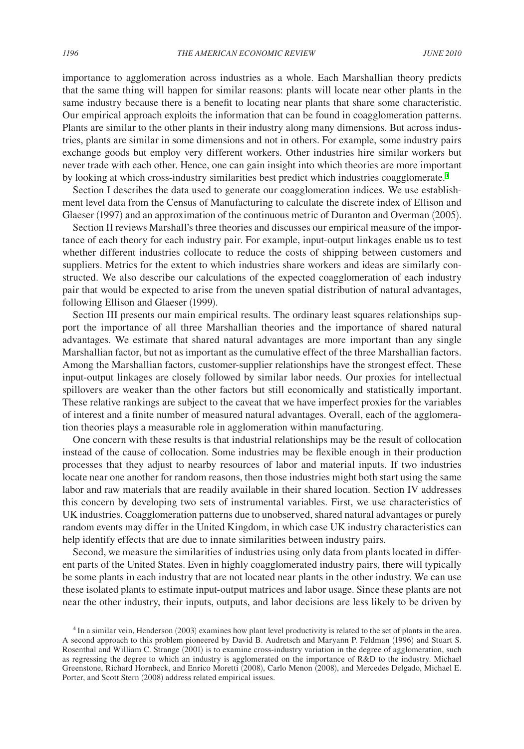importance to agglomeration across industries as a whole. Each Marshallian theory predicts that the same thing will happen for similar reasons: plants will locate near other plants in the same industry because there is a benefit to locating near plants that share some characteristic. Our empirical approach exploits the information that can be found in coagglomeration patterns. Plants are similar to the other plants in their industry along many dimensions. But across industries, plants are similar in some dimensions and not in others. For example, some industry pairs exchange goods but employ very different workers. Other industries hire similar workers but never trade with each other. Hence, one can gain insight into which theories are more important by looking at which cross-industry similarities best predict which industries coagglomerate.<sup>4</sup>

Section I describes the data used to generate our coagglomeration indices. We use establishment level data from the Census of Manufacturing to calculate the discrete index of Ellison and Glaeser (1997) and an approximation of the continuous metric of Duranton and Overman (2005).

Section II reviews Marshall's three theories and discusses our empirical measure of the importance of each theory for each industry pair. For example, input-output linkages enable us to test whether different industries collocate to reduce the costs of shipping between customers and suppliers. Metrics for the extent to which industries share workers and ideas are similarly constructed. We also describe our calculations of the expected coagglomeration of each industry pair that would be expected to arise from the uneven spatial distribution of natural advantages, following Ellison and Glaeser (1999).

Section III presents our main empirical results. The ordinary least squares relationships support the importance of all three Marshallian theories and the importance of shared natural advantages. We estimate that shared natural advantages are more important than any single Marshallian factor, but not as important as the cumulative effect of the three Marshallian factors. Among the Marshallian factors, customer-supplier relationships have the strongest effect. These input-output linkages are closely followed by similar labor needs. Our proxies for intellectual spillovers are weaker than the other factors but still economically and statistically important. These relative rankings are subject to the caveat that we have imperfect proxies for the variables of interest and a finite number of measured natural advantages. Overall, each of the agglomeration theories plays a measurable role in agglomeration within manufacturing.

One concern with these results is that industrial relationships may be the result of collocation instead of the cause of collocation. Some industries may be flexible enough in their production processes that they adjust to nearby resources of labor and material inputs. If two industries locate near one another for random reasons, then those industries might both start using the same labor and raw materials that are readily available in their shared location. Section IV addresses this concern by developing two sets of instrumental variables. First, we use characteristics of UK industries. Coagglomeration patterns due to unobserved, shared natural advantages or purely random events may differ in the United Kingdom, in which case UK industry characteristics can help identify effects that are due to innate similarities between industry pairs.

Second, we measure the similarities of industries using only data from plants located in different parts of the United States. Even in highly coagglomerated industry pairs, there will typically be some plants in each industry that are not located near plants in the other industry. We can use these isolated plants to estimate input-output matrices and labor usage. Since these plants are not near the other industry, their inputs, outputs, and labor decisions are less likely to be driven by

<sup>4</sup> In a similar vein, Henderson (2003) examines how plant level productivity is related to the set of plants in the area. A second approach to this problem pioneered by David B. Audretsch and Maryann P. Feldman (1996) and Stuart S. Rosenthal and William C. Strange (2001) is to examine cross-industry variation in the degree of agglomeration, such as regressing the degree to which an industry is agglomerated on the importance of R&D to the industry. Michael Greenstone, Richard Hornbeck, and Enrico Moretti (2008), Carlo Menon (2008), and Mercedes Delgado, Michael E. Porter, and Scott Stern (2008) address related empirical issues.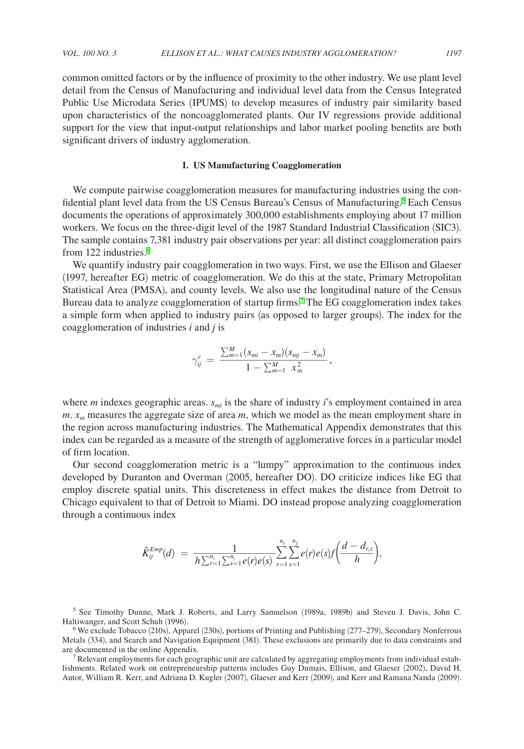common omitted factors or by the influence of proximity to the other industry. We use plant level detail from the Census of Manufacturing and individual level data from the Census Integrated Public Use Microdata Series (IPUMS) to develop measures of industry pair similarity based upon characteristics of the noncoagglomerated plants. Our IV regressions provide additional support for the view that input-output relationships and labor market pooling benefits are both significant drivers of industry agglomeration.

# **I. US Manufacturing Coagglomeration**

We compute pairwise coagglomeration measures for manufacturing industries using the confidential plant level data from the US Census Bureau's Census of Manufacturing.<sup>5</sup> Each Census documents the operations of approximately 300,000 establishments employing about 17 million workers. We focus on the three-digit level of the 1987 Standard Industrial Classification (SIC3). The sample contains 7,381 industry pair observations per year: all distinct coagglomeration pairs from 122 industries.<sup>6</sup>

We quantify industry pair coagglomeration in two ways. First, we use the Ellison and Glaeser (1997, hereafter EG) metric of coagglomeration. We do this at the state, Primary Metropolitan Statistical Area (PMSA), and county levels. We also use the longitudinal nature of the Census Bureau data to analyze coagglomeration of startup firms.7 The EG coagglomeration index takes a simple form when applied to industry pairs (as opposed to larger groups). The index for the coagglomeration of industries *i* and *j* is

$$
\gamma_{ij}^c = \frac{\sum_{m=1}^M (s_{mi} - x_m)(s_{mj} - x_m)}{1 - \sum_{m=1}^M x_m^2},
$$

where *m* indexes geographic areas.  $s_{mi}$  is the share of industry *i*'s employment contained in area *m*. *xm* measures the aggregate size of area *m*, which we model as the mean employment share in the region across manufacturing industries. The Mathematical Appendix demonstrates that this index can be regarded as a measure of the strength of agglomerative forces in a particular model of firm location.

Our second coagglomeration metric is a "lumpy" approximation to the continuous index developed by Duranton and Overman (2005, hereafter DO). DO criticize indices like EG that employ discrete spatial units. This discreteness in effect makes the distance from Detroit to Chicago equivalent to that of Detroit to Miami. DO instead propose analyzing coagglomeration through a continuous index

$$
\hat{K}_{ij}^{Emp}(d) = \frac{1}{h\sum_{r=1}^{n_i}\sum_{s=1}^{n_j}e(r)e(s)}\sum_{r=1}^{n_i}\sum_{s=1}^{n_j}e(r)e(s)f\bigg(\frac{d-d_{r,s}}{h}\bigg),
$$

<sup>7</sup> Relevant employments for each geographic unit are calculated by aggregating employments from individual establishments. Related work on entrepreneurship patterns includes Guy Dumais, Ellison, and Glaeser (2002), David H. Autor, William R. Kerr, and Adriana D. Kugler (2007), Glaeser and Kerr (2009), and Kerr and Ramana Nanda (2009).

<sup>&</sup>lt;sup>5</sup> See Timothy Dunne, Mark J. Roberts, and Larry Samuelson (1989a, 1989b) and Steven J. Davis, John C. Haltiwanger, and Scott Schuh (1996).

 $h$ <sup>6</sup> We exclude Tobacco (210s), Apparel (230s), portions of Printing and Publishing (277–279), Secondary Nonferrous Metals (334), and Search and Navigation Equipment (381). These exclusions are primarily due to data constraints and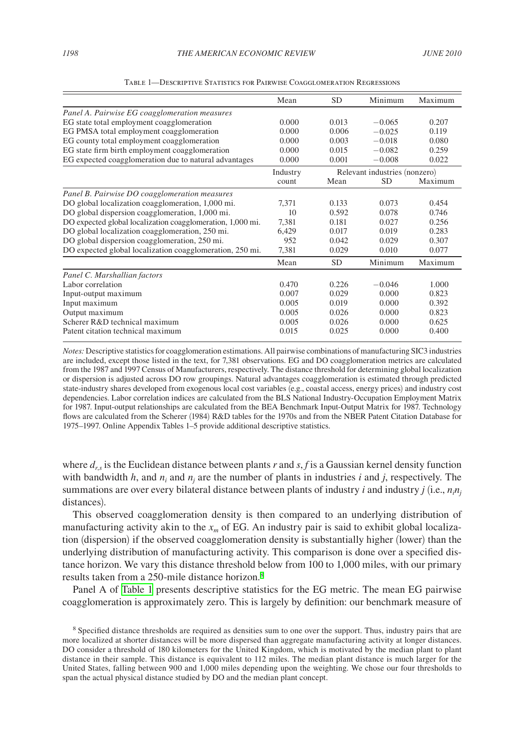<span id="page-3-0"></span>

|                                                            | Mean     | <b>SD</b> | Minimum                       | Maximum |  |
|------------------------------------------------------------|----------|-----------|-------------------------------|---------|--|
| Panel A. Pairwise EG coagglomeration measures              |          |           |                               |         |  |
| EG state total employment coagglomeration                  | 0.000    | 0.013     | $-0.065$                      | 0.207   |  |
| EG PMSA total employment coagglomeration                   | 0.000    | 0.006     | $-0.025$                      | 0.119   |  |
| EG county total employment coagglomeration                 | 0.000    | 0.003     | $-0.018$                      | 0.080   |  |
| EG state firm birth employment coagglomeration             | 0.000    | 0.015     | $-0.082$                      | 0.259   |  |
| EG expected coagglomeration due to natural advantages      | 0.000    | 0.001     | $-0.008$                      | 0.022   |  |
|                                                            | Industry |           | Relevant industries (nonzero) |         |  |
|                                                            | count    | Mean      | <b>SD</b>                     | Maximum |  |
| Panel B. Pairwise DO coagglomeration measures              |          |           |                               |         |  |
| DO global localization coagglomeration, 1,000 mi.          | 7,371    | 0.133     | 0.073                         | 0.454   |  |
| DO global dispersion coagglomeration, 1,000 mi.            | 10       | 0.592     | 0.078                         | 0.746   |  |
| DO expected global localization coagglomeration, 1,000 mi. | 7,381    | 0.181     | 0.027                         | 0.256   |  |
| DO global localization coagglomeration, 250 mi.            | 6,429    | 0.017     | 0.019                         | 0.283   |  |
| DO global dispersion coagglomeration, 250 mi.              | 952      | 0.042     | 0.029                         | 0.307   |  |
| DO expected global localization coagglomeration, 250 mi.   | 7,381    | 0.029     | 0.010                         | 0.077   |  |
|                                                            | Mean     | <b>SD</b> | Minimum                       | Maximum |  |
| Panel C. Marshallian factors                               |          |           |                               |         |  |
| Labor correlation                                          | 0.470    | 0.226     | $-0.046$                      | 1.000   |  |
| Input-output maximum                                       | 0.007    | 0.029     | 0.000                         | 0.823   |  |
| Input maximum                                              | 0.005    | 0.019     | 0.000                         | 0.392   |  |
| Output maximum                                             | 0.005    | 0.026     | 0.000                         | 0.823   |  |
| Scherer R&D technical maximum                              | 0.005    | 0.026     | 0.000                         | 0.625   |  |
| Patent citation technical maximum                          | 0.015    | 0.025     | 0.000                         | 0.400   |  |

*Notes:* Descriptive statistics for coagglomeration estimations. All pairwise combinations of manufacturing SIC3 industries are included, except those listed in the text, for 7,381 observations. EG and DO coagglomeration metrics are calculated from the 1987 and 1997 Census of Manufacturers, respectively. The distance threshold for determining global localization or dispersion is adjusted across DO row groupings. Natural advantages coagglomeration is estimated through predicted state-industry shares developed from exogenous local cost variables (e.g., coastal access, energy prices) and industry cost dependencies. Labor correlation indices are calculated from the BLS National Industry-Occupation Employment Matrix for 1987. Input-output relationships are calculated from the BEA Benchmark Input-Output Matrix for 1987. Technology flows are calculated from the Scherer (1984) R&D tables for the 1970s and from the NBER Patent Citation Database for 1975–1997. Online Appendix Tables 1–5 provide additional descriptive statistics.

where *dr*,*s* is the Euclidean distance between plants *r* and *s*, *f* is a Gaussian kernel density function with bandwidth  $h$ , and  $n_i$  and  $n_j$  are the number of plants in industries  $i$  and  $j$ , respectively. The summations are over every bilateral distance between plants of industry *i* and industry *j* (i.e., *ni nj* distances).

This observed coagglomeration density is then compared to an underlying distribution of manufacturing activity akin to the  $x_m$  of EG. An industry pair is said to exhibit global localization (dispersion) if the observed coagglomeration density is substantially higher (lower) than the underlying distribution of manufacturing activity. This comparison is done over a specified distance horizon. We vary this distance threshold below from 100 to 1,000 miles, with our primary results taken from a 250-mile distance horizon.8

Panel A of Table 1 presents descriptive statistics for the EG metric. The mean EG pairwise coagglomeration is approximately zero. This is largely by definition: our benchmark measure of

<sup>8</sup> Specified distance thresholds are required as densities sum to one over the support. Thus, industry pairs that are more localized at shorter distances will be more dispersed than aggregate manufacturing activity at longer distances. DO consider a threshold of 180 kilometers for the United Kingdom, which is motivated by the median plant to plant distance in their sample. This distance is equivalent to 112 miles. The median plant distance is much larger for the United States, falling between 900 and 1,000 miles depending upon the weighting. We chose our four thresholds to span the actual physical distance studied by DO and the median plant concept.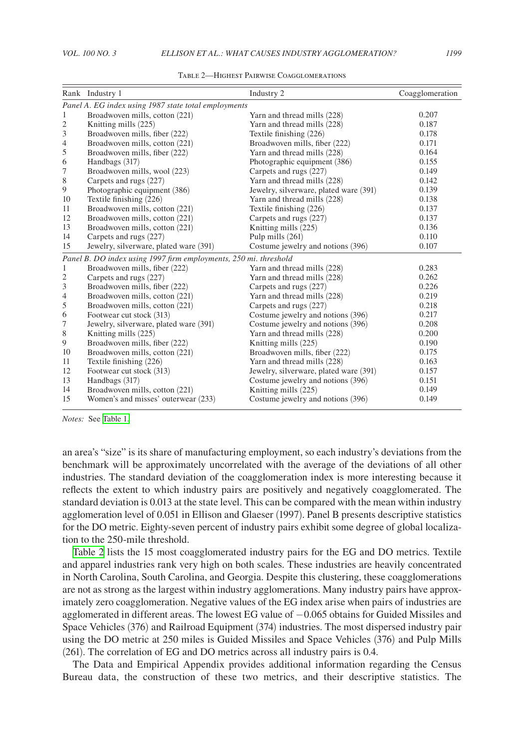|                | Rank Industry 1                                                  | Industry 2                             | Coagglomeration |  |  |  |  |  |
|----------------|------------------------------------------------------------------|----------------------------------------|-----------------|--|--|--|--|--|
|                | Panel A. EG index using 1987 state total employments             |                                        |                 |  |  |  |  |  |
| 1              | Broadwoven mills, cotton (221)                                   | Yarn and thread mills (228)            | 0.207           |  |  |  |  |  |
| $\overline{c}$ | Knitting mills (225)                                             | Yarn and thread mills (228)            | 0.187           |  |  |  |  |  |
| 3              | Broadwoven mills, fiber (222)                                    | Textile finishing (226)                | 0.178           |  |  |  |  |  |
| 4              | Broadwoven mills, cotton (221)                                   | Broadwoven mills, fiber (222)          | 0.171           |  |  |  |  |  |
| 5              | Broadwoven mills, fiber (222)                                    | Yarn and thread mills (228)            | 0.164           |  |  |  |  |  |
| 6              | Handbags (317)                                                   | Photographic equipment (386)           | 0.155           |  |  |  |  |  |
| 7              | Broadwoven mills, wool (223)                                     | Carpets and rugs (227)                 | 0.149           |  |  |  |  |  |
| 8              | Carpets and rugs (227)                                           | Yarn and thread mills (228)            | 0.142           |  |  |  |  |  |
| 9              | Photographic equipment (386)                                     | Jewelry, silverware, plated ware (391) | 0.139           |  |  |  |  |  |
| 10             | Textile finishing (226)                                          | Yarn and thread mills (228)            | 0.138           |  |  |  |  |  |
| 11             | Broadwoven mills, cotton (221)                                   | Textile finishing (226)                | 0.137           |  |  |  |  |  |
| 12             | Broadwoven mills, cotton (221)                                   | Carpets and rugs (227)                 | 0.137           |  |  |  |  |  |
| 13             | Broadwoven mills, cotton (221)                                   | Knitting mills (225)                   | 0.136           |  |  |  |  |  |
| 14             | Carpets and rugs (227)                                           | Pulp mills (261)                       | 0.110           |  |  |  |  |  |
| 15             | Jewelry, silverware, plated ware (391)                           | Costume jewelry and notions (396)      | 0.107           |  |  |  |  |  |
|                | Panel B. DO index using 1997 firm employments, 250 mi. threshold |                                        |                 |  |  |  |  |  |
| 1              | Broadwoven mills, fiber (222)                                    | Yarn and thread mills (228)            | 0.283           |  |  |  |  |  |
| $\overline{2}$ | Carpets and rugs (227)                                           | Yarn and thread mills (228)            | 0.262           |  |  |  |  |  |
| 3              | Broadwoven mills, fiber (222)                                    | Carpets and rugs (227)                 | 0.226           |  |  |  |  |  |
| $\overline{4}$ | Broadwoven mills, cotton (221)                                   | Yarn and thread mills (228)            | 0.219           |  |  |  |  |  |
| 5              | Broadwoven mills, cotton (221)                                   | Carpets and rugs (227)                 | 0.218           |  |  |  |  |  |
| 6              | Footwear cut stock (313)                                         | Costume jewelry and notions (396)      | 0.217           |  |  |  |  |  |
| 7              | Jewelry, silverware, plated ware (391)                           | Costume jewelry and notions (396)      | 0.208           |  |  |  |  |  |
| 8              | Knitting mills (225)                                             | Yarn and thread mills (228)            | 0.200           |  |  |  |  |  |
| 9              | Broadwoven mills, fiber (222)                                    | Knitting mills (225)                   | 0.190           |  |  |  |  |  |
| 10             | Broadwoven mills, cotton (221)                                   | Broadwoven mills, fiber (222)          | 0.175           |  |  |  |  |  |
| 11             | Textile finishing (226)                                          | Yarn and thread mills (228)            | 0.163           |  |  |  |  |  |
| 12             | Footwear cut stock (313)                                         | Jewelry, silverware, plated ware (391) | 0.157           |  |  |  |  |  |
| 13             | Handbags (317)                                                   | Costume jewelry and notions (396)      | 0.151           |  |  |  |  |  |
| 14             | Broadwoven mills, cotton (221)                                   | Knitting mills (225)                   | 0.149           |  |  |  |  |  |
| 15             | Women's and misses' outerwear (233)                              | Costume jewelry and notions (396)      | 0.149           |  |  |  |  |  |

Table 2—Highest Pairwise Coagglomerations

*Notes:* See [Table 1.](#page-3-0)

an area's "size" is its share of manufacturing employment, so each industry's deviations from the benchmark will be approximately uncorrelated with the average of the deviations of all other industries. The standard deviation of the coagglomeration index is more interesting because it reflects the extent to which industry pairs are positively and negatively coagglomerated. The standard deviation is 0.013 at the state level. This can be compared with the mean within industry agglomeration level of 0.051 in Ellison and Glaeser (1997). Panel B presents descriptive statistics for the DO metric. Eighty-seven percent of industry pairs exhibit some degree of global localization to the 250-mile threshold.

Table 2 lists the 15 most coagglomerated industry pairs for the EG and DO metrics. Textile and apparel industries rank very high on both scales. These industries are heavily concentrated in North Carolina, South Carolina, and Georgia. Despite this clustering, these coagglomerations are not as strong as the largest within industry agglomerations. Many industry pairs have approximately zero coagglomeration. Negative values of the EG index arise when pairs of industries are agglomerated in different areas. The lowest EG value of −0.065 obtains for Guided Missiles and Space Vehicles (376) and Railroad Equipment (374) industries. The most dispersed industry pair using the DO metric at 250 miles is Guided Missiles and Space Vehicles (376) and Pulp Mills (261). The correlation of EG and DO metrics across all industry pairs is 0.4.

The Data and Empirical Appendix provides additional information regarding the Census Bureau data, the construction of these two metrics, and their descriptive statistics. The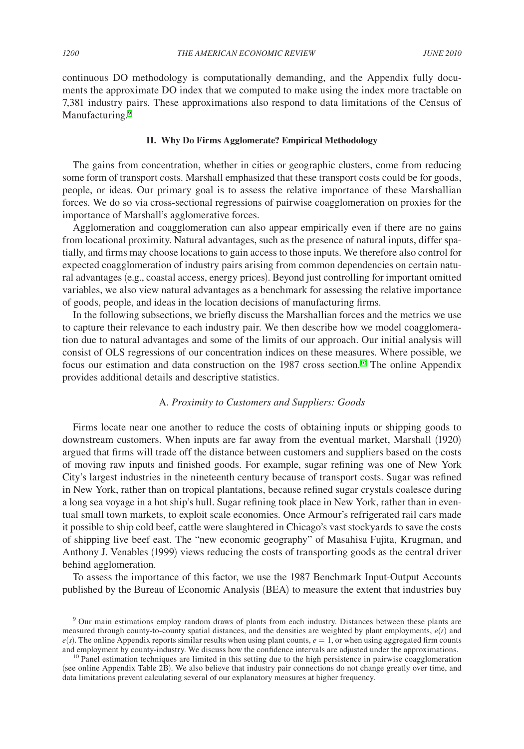continuous DO methodology is computationally demanding, and the Appendix fully documents the approximate DO index that we computed to make using the index more tractable on 7,381 industry pairs. These approximations also respond to data limitations of the Census of Manufacturing.<sup>9</sup>

#### **II. Why Do Firms Agglomerate? Empirical Methodology**

The gains from concentration, whether in cities or geographic clusters, come from reducing some form of transport costs. Marshall emphasized that these transport costs could be for goods, people, or ideas. Our primary goal is to assess the relative importance of these Marshallian forces. We do so via cross-sectional regressions of pairwise coagglomeration on proxies for the importance of Marshall's agglomerative forces.

Agglomeration and coagglomeration can also appear empirically even if there are no gains from locational proximity. Natural advantages, such as the presence of natural inputs, differ spatially, and firms may choose locations to gain access to those inputs. We therefore also control for expected coagglomeration of industry pairs arising from common dependencies on certain natural advantages (e.g., coastal access, energy prices). Beyond just controlling for important omitted variables, we also view natural advantages as a benchmark for assessing the relative importance of goods, people, and ideas in the location decisions of manufacturing firms.

In the following subsections, we briefly discuss the Marshallian forces and the metrics we use to capture their relevance to each industry pair. We then describe how we model coagglomeration due to natural advantages and some of the limits of our approach. Our initial analysis will consist of OLS regressions of our concentration indices on these measures. Where possible, we focus our estimation and data construction on the 1987 cross section.<sup>10</sup> The online Appendix provides additional details and descriptive statistics.

### A. *Proximity to Customers and Suppliers: Goods*

Firms locate near one another to reduce the costs of obtaining inputs or shipping goods to downstream customers. When inputs are far away from the eventual market, Marshall (1920) argued that firms will trade off the distance between customers and suppliers based on the costs of moving raw inputs and finished goods. For example, sugar refining was one of New York City's largest industries in the nineteenth century because of transport costs. Sugar was refined in New York, rather than on tropical plantations, because refined sugar crystals coalesce during a long sea voyage in a hot ship's hull. Sugar refining took place in New York, rather than in eventual small town markets, to exploit scale economies. Once Armour's refrigerated rail cars made it possible to ship cold beef, cattle were slaughtered in Chicago's vast stockyards to save the costs of shipping live beef east. The "new economic geography" of Masahisa Fujita, Krugman, and Anthony J. Venables (1999) views reducing the costs of transporting goods as the central driver behind agglomeration.

To assess the importance of this factor, we use the 1987 Benchmark Input-Output Accounts published by the Bureau of Economic Analysis (BEA) to measure the extent that industries buy

<sup>9</sup> Our main estimations employ random draws of plants from each industry. Distances between these plants are measured through county-to-county spatial distances, and the densities are weighted by plant employments,  $e(r)$  and  $e(s)$ . The online Appendix reports similar results when using plant counts,  $e = 1$ , or when using aggregated firm counts and employment by county-industry. We discuss how the confidence intervals are adjusted under the ap

 $10$  Panel estimation techniques are limited in this setting due to the high persistence in pairwise coagglomeration (see online Appendix Table 2B). We also believe that industry pair connections do not change greatly over time, and data limitations prevent calculating several of our explanatory measures at higher frequency.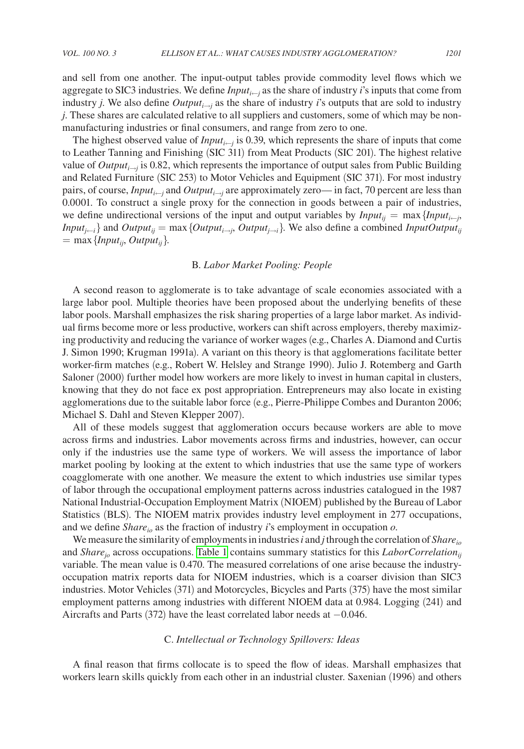and sell from one another. The input-output tables provide commodity level flows which we aggregate to SIC3 industries. We define *Inputi*←*<sup>j</sup>* as the share of industry *i*'s inputs that come from industry *j*. We also define *Outputi*→*<sup>j</sup>* as the share of industry *i*'s outputs that are sold to industry *j*. These shares are calculated relative to all suppliers and customers, some of which may be nonmanufacturing industries or final consumers, and range from zero to one.

The highest observed value of  $Input_{i \leftarrow j}$  is 0.39, which represents the share of inputs that come to Leather Tanning and Finishing (SIC 311) from Meat Products (SIC 201). The highest relative value of  $Output_{i \rightarrow j}$  is 0.82, which represents the importance of output sales from Public Building and Related Furniture (SIC 253) to Motor Vehicles and Equipment (SIC 371). For most industry pairs, of course, *Input<sub>i—j</sub>* and *Output<sub>i→j</sub>* are approximately zero— in fact, 70 percent are less than 0.0001. To construct a single proxy for the connection in goods between a pair of industries, we define undirectional versions of the input and output variables by  $Input_{ij} = \max\{Input_{i \leftarrow j},$ *Input<sub>j</sub>*←*i*} and *Output<sub>ij</sub>* = max {*Output<sub>i→j</sub>*, *Output<sub>j→i</sub>*}. We also define a combined *InputOutput<sub>ij</sub>*  $=$  max {*Input<sub>ij</sub>*, *Output<sub>ij</sub>*}.

#### B. *Labor Market Pooling: People*

A second reason to agglomerate is to take advantage of scale economies associated with a large labor pool. Multiple theories have been proposed about the underlying benefits of these labor pools. Marshall emphasizes the risk sharing properties of a large labor market. As individual firms become more or less productive, workers can shift across employers, thereby maximizing productivity and reducing the variance of worker wages (e.g., Charles A. Diamond and Curtis J. Simon 1990; Krugman 1991a). A variant on this theory is that agglomerations facilitate better worker-firm matches (e.g., Robert W. Helsley and Strange 1990). Julio J. Rotemberg and Garth Saloner (2000) further model how workers are more likely to invest in human capital in clusters, knowing that they do not face ex post appropriation. Entrepreneurs may also locate in existing agglomerations due to the suitable labor force (e.g., Pierre-Philippe Combes and Duranton 2006; Michael S. Dahl and Steven Klepper 2007).

All of these models suggest that agglomeration occurs because workers are able to move across firms and industries. Labor movements across firms and industries, however, can occur only if the industries use the same type of workers. We will assess the importance of labor market pooling by looking at the extent to which industries that use the same type of workers coagglomerate with one another. We measure the extent to which industries use similar types of labor through the occupational employment patterns across industries catalogued in the 1987 National Industrial-Occupation Employment Matrix (NIOEM) published by the Bureau of Labor Statistics (BLS). The NIOEM matrix provides industry level employment in 277 occupations, and we define *Shareio* as the fraction of industry *i*'s employment in occupation *o*.

We measure the similarity of employments in industries *i* and *j* through the correlation of *Shareio* and *Sharejo* across occupations. [Table 1](#page-3-0) contains summary statistics for this *LaborCorrelationij* variable. The mean value is 0.470. The measured correlations of one arise because the industryoccupation matrix reports data for NIOEM industries, which is a coarser division than SIC3 industries. Motor Vehicles (371) and Motorcycles, Bicycles and Parts (375) have the most similar employment patterns among industries with different NIOEM data at 0.984. Logging (241) and Aircrafts and Parts (372) have the least correlated labor needs at −0.046.

#### C. *Intellectual or Technology Spillovers: Ideas*

A final reason that firms collocate is to speed the flow of ideas. Marshall emphasizes that workers learn skills quickly from each other in an industrial cluster. Saxenian (1996) and others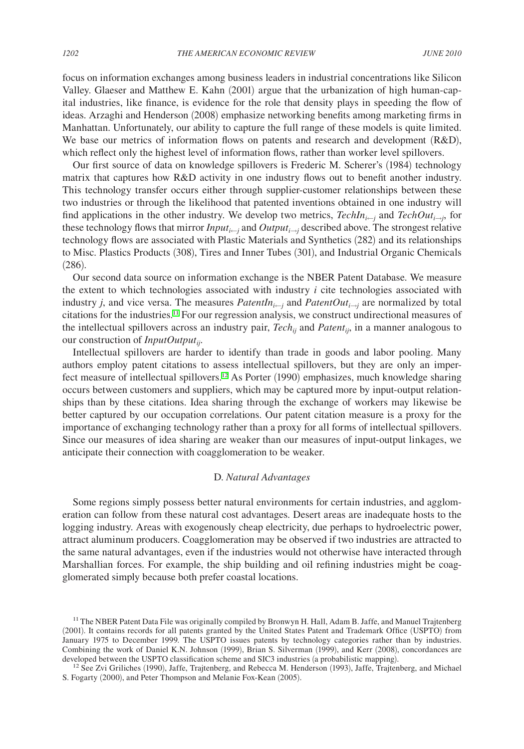focus on information exchanges among business leaders in industrial concentrations like Silicon Valley. Glaeser and Matthew E. Kahn (2001) argue that the urbanization of high human-capital industries, like finance, is evidence for the role that density plays in speeding the flow of ideas. Arzaghi and Henderson (2008) emphasize networking benefits among marketing firms in Manhattan. Unfortunately, our ability to capture the full range of these models is quite limited. We base our metrics of information flows on patents and research and development (R&D), which reflect only the highest level of information flows, rather than worker level spillovers.

Our first source of data on knowledge spillovers is Frederic M. Scherer's (1984) technology matrix that captures how R&D activity in one industry flows out to benefit another industry. This technology transfer occurs either through supplier-customer relationships between these two industries or through the likelihood that patented inventions obtained in one industry will find applications in the other industry. We develop two metrics,  $TechIn_{i \leftarrow j}$  and  $TechOut_{i \rightarrow j}$ , for these technology flows that mirror  $Input_{i \leftarrow j}$  and  $Output_{i \rightarrow j}$  described above. The strongest relative technology flows are associated with Plastic Materials and Synthetics (282) and its relationships to Misc. Plastics Products (308), Tires and Inner Tubes (301), and Industrial Organic Chemicals (286).

Our second data source on information exchange is the NBER Patent Database. We measure the extent to which technologies associated with industry  $i$  cite technologies associated with industry *j*, and vice versa. The measures *PatentIn*<sub>*i* $\leftarrow j$ </sub> and *PatentOut*<sub>*i* $\rightarrow j$ </sub> are normalized by total citations for the industries.11 For our regression analysis, we construct undirectional measures of the intellectual spillovers across an industry pair, *Techij* and *Patentij*, in a manner analogous to our construction of *InputOutputij*.

Intellectual spillovers are harder to identify than trade in goods and labor pooling. Many authors employ patent citations to assess intellectual spillovers, but they are only an imperfect measure of intellectual spillovers.12 As Porter (1990) emphasizes, much knowledge sharing occurs between customers and suppliers, which may be captured more by input-output relationships than by these citations. Idea sharing through the exchange of workers may likewise be better captured by our occupation correlations. Our patent citation measure is a proxy for the importance of exchanging technology rather than a proxy for all forms of intellectual spillovers. Since our measures of idea sharing are weaker than our measures of input-output linkages, we anticipate their connection with coagglomeration to be weaker.

## D. *Natural Advantages*

Some regions simply possess better natural environments for certain industries, and agglomeration can follow from these natural cost advantages. Desert areas are inadequate hosts to the logging industry. Areas with exogenously cheap electricity, due perhaps to hydroelectric power, attract aluminum producers. Coagglomeration may be observed if two industries are attracted to the same natural advantages, even if the industries would not otherwise have interacted through Marshallian forces. For example, the ship building and oil refining industries might be coagglomerated simply because both prefer coastal locations.

<sup>&</sup>lt;sup>11</sup> The NBER Patent Data File was originally compiled by Bronwyn H. Hall, Adam B. Jaffe, and Manuel Trajtenberg (2001). It contains records for all patents granted by the United States Patent and Trademark Office (USPTO) from January 1975 to December 1999. The USPTO issues patents by technology categories rather than by industries. Combining the work of Daniel K.N. Johnson (1999), Brian S. Silverman (1999), and Kerr (2008), concordances are developed between the USPTO classification scheme and SIC3 industries (a probabilistic mapping).

<sup>&</sup>lt;sup>12</sup> See Zvi Griliches (1990), Jaffe, Trajtenberg, and Rebecca M. Henderson (1993), Jaffe, Trajtenberg, and Michael S. Fogarty (2000), and Peter Thompson and Melanie Fox-Kean (2005).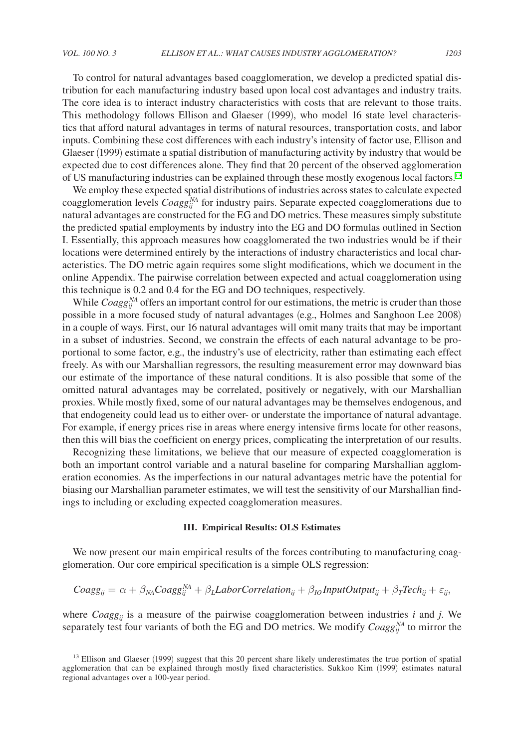To control for natural advantages based coagglomeration, we develop a predicted spatial distribution for each manufacturing industry based upon local cost advantages and industry traits. The core idea is to interact industry characteristics with costs that are relevant to those traits. This methodology follows Ellison and Glaeser (1999), who model 16 state level characteristics that afford natural advantages in terms of natural resources, transportation costs, and labor inputs. Combining these cost differences with each industry's intensity of factor use, Ellison and Glaeser (1999) estimate a spatial distribution of manufacturing activity by industry that would be expected due to cost differences alone. They find that 20 percent of the observed agglomeration of US manufacturing industries can be explained through these mostly exogenous local factors.13

We employ these expected spatial distributions of industries across states to calculate expected coagglomeration levels  $Coagg_{ij}^{NA}$  for industry pairs. Separate expected coagglomerations due to natural advantages are constructed for the EG and DO metrics. These measures simply substitute the predicted spatial employments by industry into the EG and DO formulas outlined in Section I. Essentially, this approach measures how coagglomerated the two industries would be if their locations were determined entirely by the interactions of industry characteristics and local characteristics. The DO metric again requires some slight modifications, which we document in the online Appendix. The pairwise correlation between expected and actual coagglomeration using this technique is 0.2 and 0.4 for the EG and DO techniques, respectively.

While  $Coagg_{ij}^{NA}$  offers an important control for our estimations, the metric is cruder than those possible in a more focused study of natural advantages (e.g., Holmes and Sanghoon Lee 2008) in a couple of ways. First, our 16 natural advantages will omit many traits that may be important in a subset of industries. Second, we constrain the effects of each natural advantage to be proportional to some factor, e.g., the industry's use of electricity, rather than estimating each effect freely. As with our Marshallian regressors, the resulting measurement error may downward bias our estimate of the importance of these natural conditions. It is also possible that some of the omitted natural advantages may be correlated, positively or negatively, with our Marshallian proxies. While mostly fixed, some of our natural advantages may be themselves endogenous, and that endogeneity could lead us to either over- or understate the importance of natural advantage. For example, if energy prices rise in areas where energy intensive firms locate for other reasons, then this will bias the coefficient on energy prices, complicating the interpretation of our results.

Recognizing these limitations, we believe that our measure of expected coagglomeration is both an important control variable and a natural baseline for comparing Marshallian agglomeration economies. As the imperfections in our natural advantages metric have the potential for biasing our Marshallian parameter estimates, we will test the sensitivity of our Marshallian findings to including or excluding expected coagglomeration measures.

#### **III. Empirical Results: OLS Estimates**

We now present our main empirical results of the forces contributing to manufacturing coagglomeration. Our core empirical specification is a simple OLS regression:

$$
Coagg_{ij} = \alpha + \beta_{NA} Coagg_{ij}^{NA} + \beta_L LaborCorrelation_{ij} + \beta_{IO} InputOutput_{ij} + \beta_T Tech_{ij} + \varepsilon_{ij},
$$

where *Coaggij* is a measure of the pairwise coagglomeration between industries *i* and *j*. We separately test four variants of both the EG and DO metrics. We modify  $Coagg_{ij}^{NA}$  to mirror the

<sup>&</sup>lt;sup>13</sup> Ellison and Glaeser (1999) suggest that this 20 percent share likely underestimates the true portion of spatial agglomeration that can be explained through mostly fixed characteristics. Sukkoo Kim (1999) estimates natural regional advantages over a 100-year period.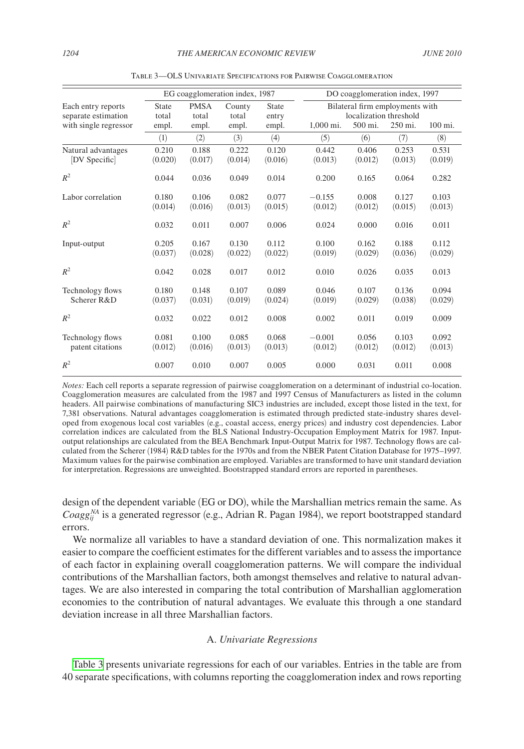<span id="page-9-0"></span>

|                                           | EG coagglomeration index, 1987 |                      |                  |                  |                     | DO coagglomeration index, 1997                            |                  |                  |  |
|-------------------------------------------|--------------------------------|----------------------|------------------|------------------|---------------------|-----------------------------------------------------------|------------------|------------------|--|
| Each entry reports<br>separate estimation | State<br>total                 | <b>PMSA</b><br>total | County<br>total  | State<br>entry   |                     | Bilateral firm employments with<br>localization threshold |                  |                  |  |
| with single regressor                     | empl.                          | empl.                | empl.            | empl.            | 1,000 mi.           | 500 mi.                                                   | 250 mi.          | 100 mi.          |  |
|                                           | (1)                            | (2)                  | (3)              | (4)              | (5)                 | (6)                                                       | (7)              | (8)              |  |
| Natural advantages                        | 0.210                          | 0.188                | 0.222            | 0.120            | 0.442               | 0.406                                                     | 0.253            | 0.531            |  |
| [DV Specific]                             | (0.020)                        | (0.017)              | (0.014)          | (0.016)          | (0.013)             | (0.012)                                                   | (0.013)          | (0.019)          |  |
| $R^2$                                     | 0.044                          | 0.036                | 0.049            | 0.014            | 0.200               | 0.165                                                     | 0.064            | 0.282            |  |
| Labor correlation                         | 0.180                          | 0.106                | 0.082            | 0.077            | $-0.155$            | 0.008                                                     | 0.127            | 0.103            |  |
|                                           | (0.014)                        | (0.016)              | (0.013)          | (0.015)          | (0.012)             | (0.012)                                                   | (0.015)          | (0.013)          |  |
| $R^2$                                     | 0.032                          | 0.011                | 0.007            | 0.006            | 0.024               | 0.000                                                     | 0.016            | 0.011            |  |
| Input-output                              | 0.205<br>(0.037)               | 0.167<br>(0.028)     | 0.130<br>(0.022) | 0.112<br>(0.022) | 0.100<br>(0.019)    | 0.162<br>(0.029)                                          | 0.188<br>(0.036) | 0.112<br>(0.029) |  |
| $R^2$                                     | 0.042                          | 0.028                | 0.017            | 0.012            | 0.010               | 0.026                                                     | 0.035            | 0.013            |  |
| Technology flows<br>Scherer R&D           | 0.180<br>(0.037)               | 0.148<br>(0.031)     | 0.107<br>(0.019) | 0.089<br>(0.024) | 0.046<br>(0.019)    | 0.107<br>(0.029)                                          | 0.136<br>(0.038) | 0.094<br>(0.029) |  |
| $R^2$                                     | 0.032                          | 0.022                | 0.012            | 0.008            | 0.002               | 0.011                                                     | 0.019            | 0.009            |  |
| Technology flows<br>patent citations      | 0.081<br>(0.012)               | 0.100<br>(0.016)     | 0.085<br>(0.013) | 0.068<br>(0.013) | $-0.001$<br>(0.012) | 0.056<br>(0.012)                                          | 0.103<br>(0.012) | 0.092<br>(0.013) |  |
| $R^2$                                     | 0.007                          | 0.010                | 0.007            | 0.005            | 0.000               | 0.031                                                     | 0.011            | 0.008            |  |

Table 3—OLS Univariate Specifications for Pairwise Coagglomeration

*Notes:* Each cell reports a separate regression of pairwise coagglomeration on a determinant of industrial co-location. Coagglomeration measures are calculated from the 1987 and 1997 Census of Manufacturers as listed in the column headers. All pairwise combinations of manufacturing SIC3 industries are included, except those listed in the text, for 7,381 observations. Natural advantages coagglomeration is estimated through predicted state-industry shares developed from exogenous local cost variables (e.g., coastal access, energy prices) and industry cost dependencies. Labor correlation indices are calculated from the BLS National Industry-Occupation Employment Matrix for 1987. Inputoutput relationships are calculated from the BEA Benchmark Input-Output Matrix for 1987. Technology flows are calculated from the Scherer (1984) R&D tables for the 1970s and from the NBER Patent Citation Database for 1975–1997. Maximum values for the pairwise combination are employed. Variables are transformed to have unit standard deviation for interpretation. Regressions are unweighted. Bootstrapped standard errors are reported in parentheses.

design of the dependent variable (EG or DO), while the Marshallian metrics remain the same. As  $Coagg_{ij}^{NA}$  is a generated regressor (e.g., Adrian R. Pagan 1984), we report bootstrapped standard errors.

We normalize all variables to have a standard deviation of one. This normalization makes it easier to compare the coefficient estimates for the different variables and to assess the importance of each factor in explaining overall coagglomeration patterns. We will compare the individual contributions of the Marshallian factors, both amongst themselves and relative to natural advantages. We are also interested in comparing the total contribution of Marshallian agglomeration economies to the contribution of natural advantages. We evaluate this through a one standard deviation increase in all three Marshallian factors.

# A. *Univariate Regressions*

Table 3 presents univariate regressions for each of our variables. Entries in the table are from 40 separate specifications, with columns reporting the coagglomeration index and rows reporting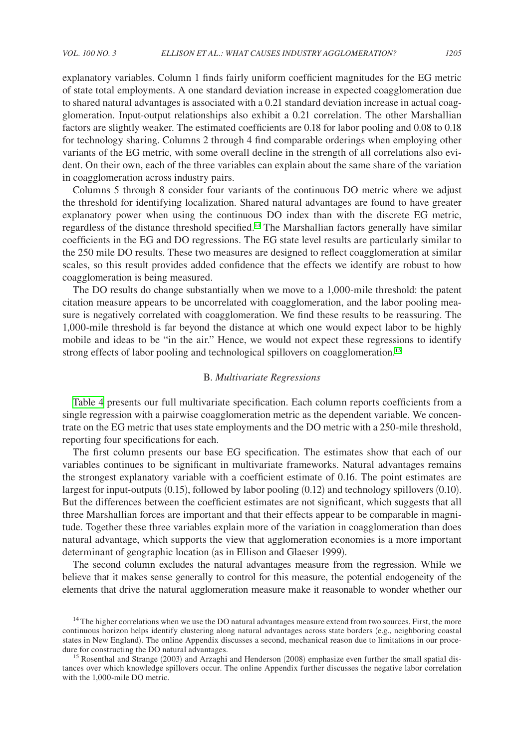explanatory variables. Column 1 finds fairly uniform coefficient magnitudes for the EG metric of state total employments. A one standard deviation increase in expected coagglomeration due to shared natural advantages is associated with a 0.21 standard deviation increase in actual coagglomeration. Input-output relationships also exhibit a 0.21 correlation. The other Marshallian factors are slightly weaker. The estimated coefficients are 0.18 for labor pooling and 0.08 to 0.18 for technology sharing. Columns 2 through 4 find comparable orderings when employing other variants of the EG metric, with some overall decline in the strength of all correlations also evident. On their own, each of the three variables can explain about the same share of the variation in coagglomeration across industry pairs.

Columns 5 through 8 consider four variants of the continuous DO metric where we adjust the threshold for identifying localization. Shared natural advantages are found to have greater explanatory power when using the continuous DO index than with the discrete EG metric, regardless of the distance threshold specified.14 The Marshallian factors generally have similar coefficients in the EG and DO regressions. The EG state level results are particularly similar to the 250 mile DO results. These two measures are designed to reflect coagglomeration at similar scales, so this result provides added confidence that the effects we identify are robust to how coagglomeration is being measured.

The DO results do change substantially when we move to a 1,000-mile threshold: the patent citation measure appears to be uncorrelated with coagglomeration, and the labor pooling measure is negatively correlated with coagglomeration. We find these results to be reassuring. The 1,000-mile threshold is far beyond the distance at which one would expect labor to be highly mobile and ideas to be "in the air." Hence, we would not expect these regressions to identify strong effects of labor pooling and technological spillovers on coagglomeration.<sup>15</sup>

# B. *Multivariate Regressions*

[Table 4](#page-11-0) presents our full multivariate specification. Each column reports coefficients from a single regression with a pairwise coagglomeration metric as the dependent variable. We concentrate on the EG metric that uses state employments and the DO metric with a 250-mile threshold, reporting four specifications for each.

The first column presents our base EG specification. The estimates show that each of our variables continues to be significant in multivariate frameworks. Natural advantages remains the strongest explanatory variable with a coefficient estimate of 0.16. The point estimates are largest for input-outputs (0.15), followed by labor pooling (0.12) and technology spillovers (0.10). But the differences between the coefficient estimates are not significant, which suggests that all three Marshallian forces are important and that their effects appear to be comparable in magnitude. Together these three variables explain more of the variation in coagglomeration than does natural advantage, which supports the view that agglomeration economies is a more important determinant of geographic location (as in Ellison and Glaeser 1999).

The second column excludes the natural advantages measure from the regression. While we believe that it makes sense generally to control for this measure, the potential endogeneity of the elements that drive the natural agglomeration measure make it reasonable to wonder whether our

<sup>&</sup>lt;sup>14</sup> The higher correlations when we use the DO natural advantages measure extend from two sources. First, the more continuous horizon helps identify clustering along natural advantages across state borders (e.g., neighboring coastal states in New England). The online Appendix discusses a second, mechanical reason due to limitations in our proce-<br>dure for constructing the DO natural advantages.

<sup>&</sup>lt;sup>15</sup> Rosenthal and Strange (2003) and Arzaghi and Henderson (2008) emphasize even further the small spatial distances over which knowledge spillovers occur. The online Appendix further discusses the negative labor correlation with the 1,000-mile DO metric.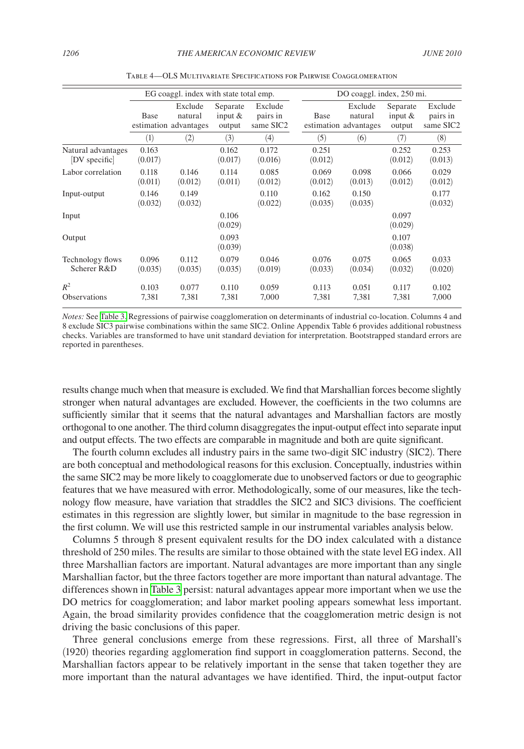<span id="page-11-0"></span>

|                                       | EG coaggl. index with state total emp. |                                             |                                 |                                              | DO coaggl. index, 250 mi. |                                             |                                 |                                              |
|---------------------------------------|----------------------------------------|---------------------------------------------|---------------------------------|----------------------------------------------|---------------------------|---------------------------------------------|---------------------------------|----------------------------------------------|
|                                       | Base                                   | Exclude<br>natural<br>estimation advantages | Separate<br>input $&$<br>output | Exclude<br>pairs in<br>same SIC <sub>2</sub> | Base                      | Exclude<br>natural<br>estimation advantages | Separate<br>input $&$<br>output | Exclude<br>pairs in<br>same SIC <sub>2</sub> |
|                                       | (1)                                    | (2)                                         | (3)                             | (4)                                          | (5)                       | (6)                                         | (7)                             | (8)                                          |
| Natural advantages<br>$ DV $ specific | 0.163<br>(0.017)                       |                                             | 0.162<br>(0.017)                | 0.172<br>(0.016)                             | 0.251<br>(0.012)          |                                             | 0.252<br>(0.012)                | 0.253<br>(0.013)                             |
| Labor correlation                     | 0.118<br>(0.011)                       | 0.146<br>(0.012)                            | 0.114<br>(0.011)                | 0.085<br>(0.012)                             | 0.069<br>(0.012)          | 0.098<br>(0.013)                            | 0.066<br>(0.012)                | 0.029<br>(0.012)                             |
| Input-output                          | 0.146<br>(0.032)                       | 0.149<br>(0.032)                            |                                 | 0.110<br>(0.022)                             | 0.162<br>(0.035)          | 0.150<br>(0.035)                            |                                 | 0.177<br>(0.032)                             |
| Input                                 |                                        |                                             | 0.106<br>(0.029)                |                                              |                           |                                             | 0.097<br>(0.029)                |                                              |
| Output                                |                                        |                                             | 0.093<br>(0.039)                |                                              |                           |                                             | 0.107<br>(0.038)                |                                              |
| Technology flows<br>Scherer R&D       | 0.096<br>(0.035)                       | 0.112<br>(0.035)                            | 0.079<br>(0.035)                | 0.046<br>(0.019)                             | 0.076<br>(0.033)          | 0.075<br>(0.034)                            | 0.065<br>(0.032)                | 0.033<br>(0.020)                             |
| $R^2$<br><b>Observations</b>          | 0.103<br>7,381                         | 0.077<br>7,381                              | 0.110<br>7,381                  | 0.059<br>7,000                               | 0.113<br>7,381            | 0.051<br>7,381                              | 0.117<br>7,381                  | 0.102<br>7,000                               |

Table 4—OLS Multivariate Specifications for Pairwise Coagglomeration

*Notes:* See [Table 3.](#page-9-0) Regressions of pairwise coagglomeration on determinants of industrial co-location. Columns 4 and 8 exclude SIC3 pairwise combinations within the same SIC2. Online Appendix Table 6 provides additional robustness checks. Variables are transformed to have unit standard deviation for interpretation. Bootstrapped standard errors are reported in parentheses.

results change much when that measure is excluded. We find that Marshallian forces become slightly stronger when natural advantages are excluded. However, the coefficients in the two columns are sufficiently similar that it seems that the natural advantages and Marshallian factors are mostly orthogonal to one another. The third column disaggregates the input-output effect into separate input and output effects. The two effects are comparable in magnitude and both are quite significant.

The fourth column excludes all industry pairs in the same two-digit SIC industry (SIC2). There are both conceptual and methodological reasons for this exclusion. Conceptually, industries within the same SIC2 may be more likely to coagglomerate due to unobserved factors or due to geographic features that we have measured with error. Methodologically, some of our measures, like the technology flow measure, have variation that straddles the SIC2 and SIC3 divisions. The coefficient estimates in this regression are slightly lower, but similar in magnitude to the base regression in the first column. We will use this restricted sample in our instrumental variables analysis below.

Columns 5 through 8 present equivalent results for the DO index calculated with a distance threshold of 250 miles. The results are similar to those obtained with the state level EG index. All three Marshallian factors are important. Natural advantages are more important than any single Marshallian factor, but the three factors together are more important than natural advantage. The differences shown in [Table 3](#page-9-0) persist: natural advantages appear more important when we use the DO metrics for coagglomeration; and labor market pooling appears somewhat less important. Again, the broad similarity provides confidence that the coagglomeration metric design is not driving the basic conclusions of this paper.

Three general conclusions emerge from these regressions. First, all three of Marshall's (1920) theories regarding agglomeration find support in coagglomeration patterns. Second, the Marshallian factors appear to be relatively important in the sense that taken together they are more important than the natural advantages we have identified. Third, the input-output factor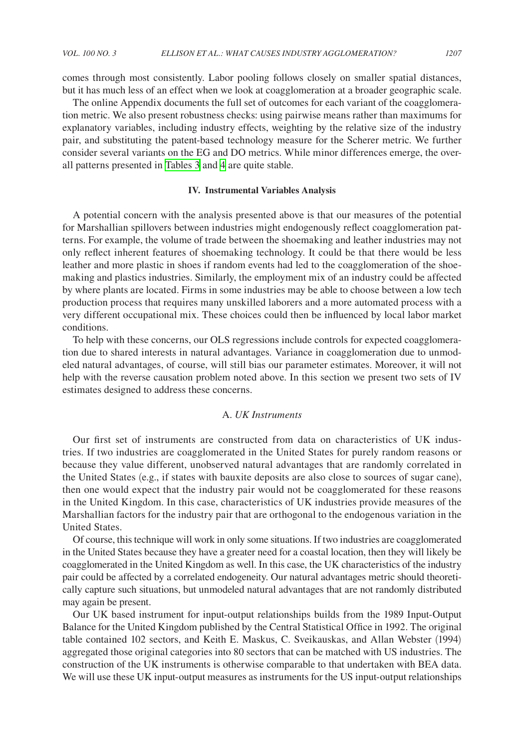comes through most consistently. Labor pooling follows closely on smaller spatial distances, but it has much less of an effect when we look at coagglomeration at a broader geographic scale.

The online Appendix documents the full set of outcomes for each variant of the coagglomeration metric. We also present robustness checks: using pairwise means rather than maximums for explanatory variables, including industry effects, weighting by the relative size of the industry pair, and substituting the patent-based technology measure for the Scherer metric. We further consider several variants on the EG and DO metrics. While minor differences emerge, the overall patterns presented in [Tables 3](#page-9-0) and [4](#page-11-0) are quite stable.

#### **IV. Instrumental Variables Analysis**

A potential concern with the analysis presented above is that our measures of the potential for Marshallian spillovers between industries might endogenously reflect coagglomeration patterns. For example, the volume of trade between the shoemaking and leather industries may not only reflect inherent features of shoemaking technology. It could be that there would be less leather and more plastic in shoes if random events had led to the coagglomeration of the shoemaking and plastics industries. Similarly, the employment mix of an industry could be affected by where plants are located. Firms in some industries may be able to choose between a low tech production process that requires many unskilled laborers and a more automated process with a very different occupational mix. These choices could then be influenced by local labor market conditions.

To help with these concerns, our OLS regressions include controls for expected coagglomeration due to shared interests in natural advantages. Variance in coagglomeration due to unmodeled natural advantages, of course, will still bias our parameter estimates. Moreover, it will not help with the reverse causation problem noted above. In this section we present two sets of IV estimates designed to address these concerns.

#### A. *UK Instruments*

Our first set of instruments are constructed from data on characteristics of UK industries. If two industries are coagglomerated in the United States for purely random reasons or because they value different, unobserved natural advantages that are randomly correlated in the United States (e.g., if states with bauxite deposits are also close to sources of sugar cane), then one would expect that the industry pair would not be coagglomerated for these reasons in the United Kingdom. In this case, characteristics of UK industries provide measures of the Marshallian factors for the industry pair that are orthogonal to the endogenous variation in the United States.

Of course, this technique will work in only some situations. If two industries are coagglomerated in the United States because they have a greater need for a coastal location, then they will likely be coagglomerated in the United Kingdom as well. In this case, the UK characteristics of the industry pair could be affected by a correlated endogeneity. Our natural advantages metric should theoretically capture such situations, but unmodeled natural advantages that are not randomly distributed may again be present.

Our UK based instrument for input-output relationships builds from the 1989 Input-Output Balance for the United Kingdom published by the Central Statistical Office in 1992. The original table contained 102 sectors, and Keith E. Maskus, C. Sveikauskas, and Allan Webster (1994) aggregated those original categories into 80 sectors that can be matched with US industries. The construction of the UK instruments is otherwise comparable to that undertaken with BEA data. We will use these UK input-output measures as instruments for the US input-output relationships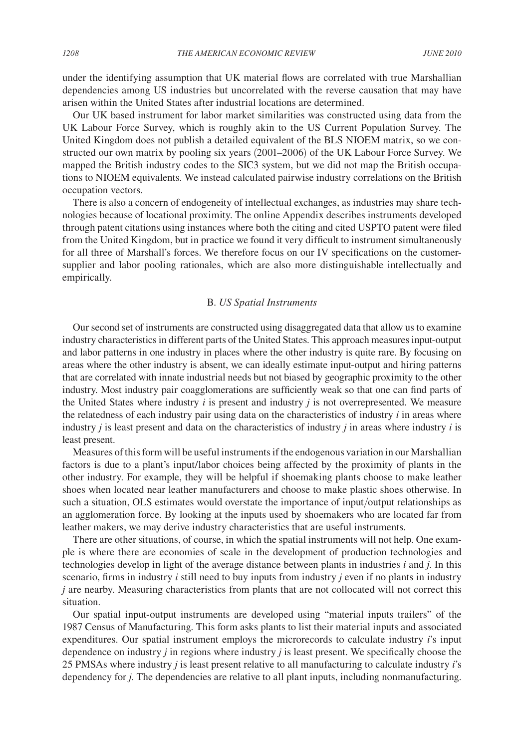under the identifying assumption that UK material flows are correlated with true Marshallian dependencies among US industries but uncorrelated with the reverse causation that may have arisen within the United States after industrial locations are determined.

Our UK based instrument for labor market similarities was constructed using data from the UK Labour Force Survey, which is roughly akin to the US Current Population Survey. The United Kingdom does not publish a detailed equivalent of the BLS NIOEM matrix, so we constructed our own matrix by pooling six years (2001–2006) of the UK Labour Force Survey. We mapped the British industry codes to the SIC3 system, but we did not map the British occupations to NIOEM equivalents. We instead calculated pairwise industry correlations on the British occupation vectors.

There is also a concern of endogeneity of intellectual exchanges, as industries may share technologies because of locational proximity. The online Appendix describes instruments developed through patent citations using instances where both the citing and cited USPTO patent were filed from the United Kingdom, but in practice we found it very difficult to instrument simultaneously for all three of Marshall's forces. We therefore focus on our IV specifications on the customersupplier and labor pooling rationales, which are also more distinguishable intellectually and empirically.

#### B. *US Spatial Instruments*

Our second set of instruments are constructed using disaggregated data that allow us to examine industry characteristics in different parts of the United States. This approach measures input-output and labor patterns in one industry in places where the other industry is quite rare. By focusing on areas where the other industry is absent, we can ideally estimate input-output and hiring patterns that are correlated with innate industrial needs but not biased by geographic proximity to the other industry. Most industry pair coagglomerations are sufficiently weak so that one can find parts of the United States where industry *i* is present and industry *j* is not overrepresented. We measure the relatedness of each industry pair using data on the characteristics of industry *i* in areas where industry *j* is least present and data on the characteristics of industry *j* in areas where industry *i* is least present.

Measures of this form will be useful instruments if the endogenous variation in our Marshallian factors is due to a plant's input/labor choices being affected by the proximity of plants in the other industry. For example, they will be helpful if shoemaking plants choose to make leather shoes when located near leather manufacturers and choose to make plastic shoes otherwise. In such a situation, OLS estimates would overstate the importance of input/output relationships as an agglomeration force. By looking at the inputs used by shoemakers who are located far from leather makers, we may derive industry characteristics that are useful instruments.

There are other situations, of course, in which the spatial instruments will not help. One example is where there are economies of scale in the development of production technologies and technologies develop in light of the average distance between plants in industries *i* and *j*. In this scenario, firms in industry *i* still need to buy inputs from industry *j* even if no plants in industry *j* are nearby. Measuring characteristics from plants that are not collocated will not correct this situation.

Our spatial input-output instruments are developed using "material inputs trailers" of the 1987 Census of Manufacturing. This form asks plants to list their material inputs and associated expenditures. Our spatial instrument employs the microrecords to calculate industry *i*'s input dependence on industry *j* in regions where industry *j* is least present. We specifically choose the 25 PMSAs where industry *j* is least present relative to all manufacturing to calculate industry *i*'s dependency for *j*. The dependencies are relative to all plant inputs, including nonmanufacturing.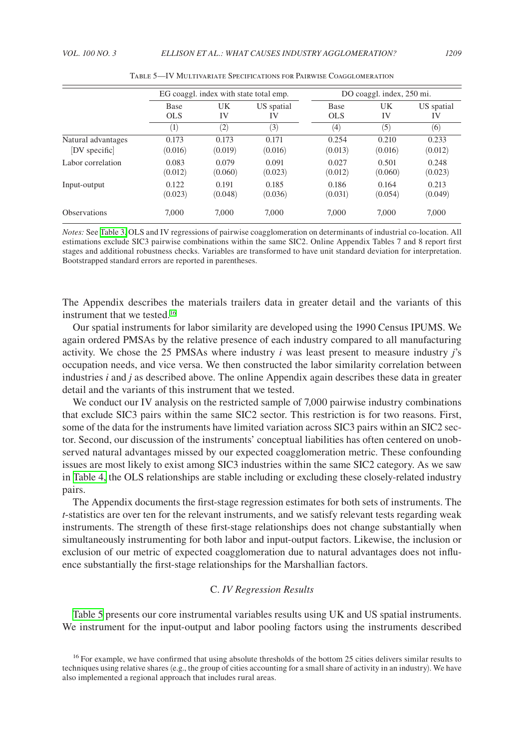|                     |                   | EG coaggl. index with state total emp. |            | DO coaggl. index, 250 mi. |         |            |  |
|---------------------|-------------------|----------------------------------------|------------|---------------------------|---------|------------|--|
|                     | <b>Base</b>       | UK                                     | US spatial | <b>Base</b>               | UK      | US spatial |  |
|                     | <b>OLS</b>        | IV                                     | IV         | <b>OLS</b>                | IV      | IV         |  |
|                     | $\left( 1\right)$ | $\left( 2\right)$                      | (3)        | $\left( 4\right)$         | (5)     | (6)        |  |
| Natural advantages  | 0.173             | 0.173                                  | 0.171      | 0.254                     | 0.210   | 0.233      |  |
| [DV specific]       | (0.016)           | (0.019)                                | (0.016)    | (0.013)                   | (0.016) | (0.012)    |  |
| Labor correlation   | 0.083             | 0.079                                  | 0.091      | 0.027                     | 0.501   | 0.248      |  |
|                     | (0.012)           | (0.060)                                | (0.023)    | (0.012)                   | (0.060) | (0.023)    |  |
| Input-output        | 0.122             | 0.191                                  | 0.185      | 0.186                     | 0.164   | 0.213      |  |
|                     | (0.023)           | (0.048)                                | (0.036)    | (0.031)                   | (0.054) | (0.049)    |  |
| <b>Observations</b> | 7.000             | 7.000                                  | 7.000      | 7.000                     | 7.000   | 7.000      |  |

Table 5—IV Multivariate Specifications for Pairwise Coagglomeration

*Notes:* See [Table 3.](#page-9-0) OLS and IV regressions of pairwise coagglomeration on determinants of industrial co-location. All estimations exclude SIC3 pairwise combinations within the same SIC2. Online Appendix Tables 7 and 8 report first stages and additional robustness checks. Variables are transformed to have unit standard deviation for interpretation. Bootstrapped standard errors are reported in parentheses.

The Appendix describes the materials trailers data in greater detail and the variants of this instrument that we tested.16

Our spatial instruments for labor similarity are developed using the 1990 Census IPUMS. We again ordered PMSAs by the relative presence of each industry compared to all manufacturing activity. We chose the 25 PMSAs where industry *i* was least present to measure industry *j*'s occupation needs, and vice versa. We then constructed the labor similarity correlation between industries *i* and *j* as described above. The online Appendix again describes these data in greater detail and the variants of this instrument that we tested.

We conduct our IV analysis on the restricted sample of 7,000 pairwise industry combinations that exclude SIC3 pairs within the same SIC2 sector. This restriction is for two reasons. First, some of the data for the instruments have limited variation across SIC3 pairs within an SIC2 sector. Second, our discussion of the instruments' conceptual liabilities has often centered on unobserved natural advantages missed by our expected coagglomeration metric. These confounding issues are most likely to exist among SIC3 industries within the same SIC2 category. As we saw in [Table 4,](#page-11-0) the OLS relationships are stable including or excluding these closely-related industry pairs.

The Appendix documents the first-stage regression estimates for both sets of instruments. The *t*-statistics are over ten for the relevant instruments, and we satisfy relevant tests regarding weak instruments. The strength of these first-stage relationships does not change substantially when simultaneously instrumenting for both labor and input-output factors. Likewise, the inclusion or exclusion of our metric of expected coagglomeration due to natural advantages does not influence substantially the first-stage relationships for the Marshallian factors.

### C. *IV Regression Results*

Table 5 presents our core instrumental variables results using UK and US spatial instruments. We instrument for the input-output and labor pooling factors using the instruments described

<sup>&</sup>lt;sup>16</sup> For example, we have confirmed that using absolute thresholds of the bottom 25 cities delivers similar results to techniques using relative shares (e.g., the group of cities accounting for a small share of activity in an industry). We have also implemented a regional approach that includes rural areas.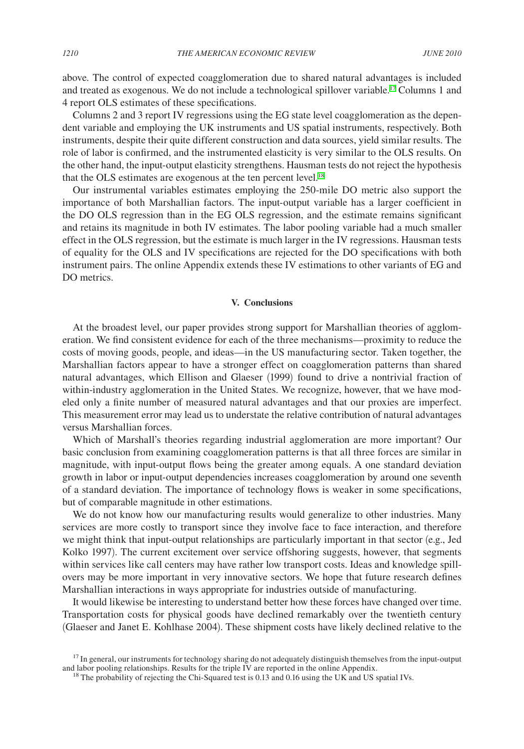above. The control of expected coagglomeration due to shared natural advantages is included and treated as exogenous. We do not include a technological spillover variable.17 Columns 1 and 4 report OLS estimates of these specifications.

Columns 2 and 3 report IV regressions using the EG state level coagglomeration as the dependent variable and employing the UK instruments and US spatial instruments, respectively. Both instruments, despite their quite different construction and data sources, yield similar results. The role of labor is confirmed, and the instrumented elasticity is very similar to the OLS results. On the other hand, the input-output elasticity strengthens. Hausman tests do not reject the hypothesis that the OLS estimates are exogenous at the ten percent level.<sup>18</sup>

Our instrumental variables estimates employing the 250-mile DO metric also support the importance of both Marshallian factors. The input-output variable has a larger coefficient in the DO OLS regression than in the EG OLS regression, and the estimate remains significant and retains its magnitude in both IV estimates. The labor pooling variable had a much smaller effect in the OLS regression, but the estimate is much larger in the IV regressions. Hausman tests of equality for the OLS and IV specifications are rejected for the DO specifications with both instrument pairs. The online Appendix extends these IV estimations to other variants of EG and DO metrics.

#### **V. Conclusions**

At the broadest level, our paper provides strong support for Marshallian theories of agglomeration. We find consistent evidence for each of the three mechanisms—proximity to reduce the costs of moving goods, people, and ideas—in the US manufacturing sector. Taken together, the Marshallian factors appear to have a stronger effect on coagglomeration patterns than shared natural advantages, which Ellison and Glaeser (1999) found to drive a nontrivial fraction of within-industry agglomeration in the United States. We recognize, however, that we have modeled only a finite number of measured natural advantages and that our proxies are imperfect. This measurement error may lead us to understate the relative contribution of natural advantages versus Marshallian forces.

Which of Marshall's theories regarding industrial agglomeration are more important? Our basic conclusion from examining coagglomeration patterns is that all three forces are similar in magnitude, with input-output flows being the greater among equals. A one standard deviation growth in labor or input-output dependencies increases coagglomeration by around one seventh of a standard deviation. The importance of technology flows is weaker in some specifications, but of comparable magnitude in other estimations.

We do not know how our manufacturing results would generalize to other industries. Many services are more costly to transport since they involve face to face interaction, and therefore we might think that input-output relationships are particularly important in that sector (e.g., Jed Kolko 1997). The current excitement over service offshoring suggests, however, that segments within services like call centers may have rather low transport costs. Ideas and knowledge spillovers may be more important in very innovative sectors. We hope that future research defines Marshallian interactions in ways appropriate for industries outside of manufacturing.

It would likewise be interesting to understand better how these forces have changed over time. Transportation costs for physical goods have declined remarkably over the twentieth century (Glaeser and Janet E. Kohlhase 2004). These shipment costs have likely declined relative to the

<sup>&</sup>lt;sup>17</sup> In general, our instruments for technology sharing do not adequately distinguish themselves from the input-output and labor pooling relationships. Results for the triple IV are reported in the online Appendix. <sup>18</sup> The probability of rejecting the Chi-Squared test is 0.13 and 0.16 using the UK and US spatial IVs.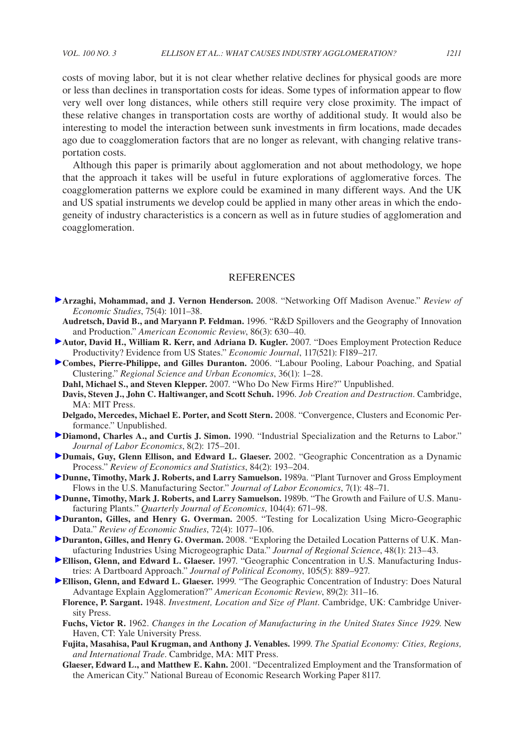costs of moving labor, but it is not clear whether relative declines for physical goods are more or less than declines in transportation costs for ideas. Some types of information appear to flow very well over long distances, while others still require very close proximity. The impact of these relative changes in transportation costs are worthy of additional study. It would also be interesting to model the interaction between sunk investments in firm locations, made decades ago due to coagglomeration factors that are no longer as relevant, with changing relative transportation costs.

Although this paper is primarily about agglomeration and not about methodology, we hope that the approach it takes will be useful in future explorations of agglomerative forces. The coagglomeration patterns we explore could be examined in many different ways. And the UK and US spatial instruments we develop could be applied in many other areas in which the endogeneity of industry characteristics is a concern as well as in future studies of agglomeration and coagglomeration.

#### **REFERENCES**

- **Arzaghi, Mohammad, and J. Vernon Henderson.** 2008. "Networking Off Madison Avenue." *Review of Economic Studies*, 75(4): 1011–38.
	- **Audretsch, David B., and Maryann P. Feldman.** 1996. "R&D Spillovers and the Geography of Innovation and Production." *American Economic Review*, 86(3): 630–40.
- **Autor, David H., William R. Kerr, and Adriana D. Kugler.** 2007. "Does Employment Protection Reduce Productivity? Evidence from US States." *Economic Journal*, 117(521): F189–217.
- **Combes, Pierre-Philippe, and Gilles Duranton.** 2006. "Labour Pooling, Labour Poaching, and Spatial Clustering." *Regional Science and Urban Economics*, 36(1): 1–28.
	- **Dahl, Michael S., and Steven Klepper.** 2007. "Who Do New Firms Hire?" Unpublished.
	- **Davis, Steven J., John C. Haltiwanger, and Scott Schuh.** 1996. *Job Creation and Destruction*. Cambridge, MA: MIT Press.
	- **Delgado, Mercedes, Michael E. Porter, and Scott Stern.** 2008. "Convergence, Clusters and Economic Performance." Unpublished.
- **Diamond, Charles A., and Curtis J. Simon.** 1990. "Industrial Specialization and the Returns to Labor." *Journal of Labor Economics*, 8(2): 175–201.
- **Dumais, Guy, Glenn Ellison, and Edward L. Glaeser.** 2002. "Geographic Concentration as a Dynamic Process." *Review of Economics and Statistics*, 84(2): 193–204.
- **Dunne, Timothy, Mark J. Roberts, and Larry Samuelson.** 1989a. "Plant Turnover and Gross Employment Flows in the U.S. Manufacturing Sector." *Journal of Labor Economics*, 7(1): 48–71.
- **Dunne, Timothy, Mark J. Roberts, and Larry Samuelson.** 1989b. "The Growth and Failure of U.S. Manufacturing Plants." *Quarterly Journal of Economics*, 104(4): 671–98.
- **Duranton, Gilles, and Henry G. Overman.** 2005. "Testing for Localization Using Micro-Geographic Data." *Review of Economic Studies*, 72(4): 1077–106.
- **Duranton, Gilles, and Henry G. Overman.** 2008. "Exploring the Detailed Location Patterns of U.K. Manufacturing Industries Using Microgeographic Data." *Journal of Regional Science*, 48(1): 213–43.
- **Ellison, Glenn, and Edward L. Glaeser.** 1997. "Geographic Concentration in U.S. Manufacturing Industries: A Dartboard Approach." *Journal of Political Economy*, 105(5): 889–927.
- **Ellison, Glenn, and Edward L. Glaeser.** 1999. "The Geographic Concentration of Industry: Does Natural Advantage Explain Agglomeration?" *American Economic Review*, 89(2): 311–16.
- **Florence, P. Sargant.** 1948. *Investment, Location and Size of Plant*. Cambridge, UK: Cambridge University Press.
- **Fuchs, Victor R.** 1962. *Changes in the Location of Manufacturing in the United States Since 1929*. New Haven, CT: Yale University Press.
- **Fujita, Masahisa, Paul Krugman, and Anthony J. Venables.** 1999. *The Spatial Economy: Cities, Regions, and International Trade*. Cambridge, MA: MIT Press.
- **Glaeser, Edward L., and Matthew E. Kahn.** 2001. "Decentralized Employment and the Transformation of the American City." National Bureau of Economic Research Working Paper 8117.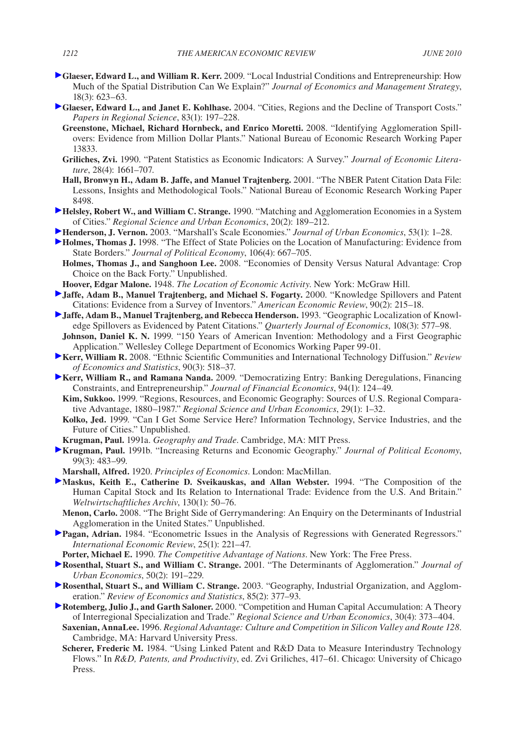- **Glaeser, Edward L., and William R. Kerr.** 2009. "Local Industrial Conditions and Entrepreneurship: How Much of the Spatial Distribution Can We Explain?" *Journal of Economics and Management Strategy*, 18(3): 623–63.
- **Glaeser, Edward L., and Janet E. Kohlhase.** 2004. "Cities, Regions and the Decline of Transport Costs." *Papers in Regional Science*, 83(1): 197–228.
	- **Greenstone, Michael, Richard Hornbeck, and Enrico Moretti.** 2008. "Identifying Agglomeration Spillovers: Evidence from Million Dollar Plants." National Bureau of Economic Research Working Paper 13833.
	- **Griliches, Zvi.** 1990. "Patent Statistics as Economic Indicators: A Survey." *Journal of Economic Literature*, 28(4): 1661–707.
	- **Hall, Bronwyn H., Adam B. Jaffe, and Manuel Trajtenberg.** 2001. "The NBER Patent Citation Data File: Lessons, Insights and Methodological Tools." National Bureau of Economic Research Working Paper 8498.
- **Helsley, Robert W., and William C. Strange.** 1990. "Matching and Agglomeration Economies in a System of Cities." *Regional Science and Urban Economics*, 20(2): 189–212.
- **Henderson, J. Vernon.** 2003. "Marshall's Scale Economies." *Journal of Urban Economics*, 53(1): 1–28.
- **Holmes, Thomas J.** 1998. "The Effect of State Policies on the Location of Manufacturing: Evidence from State Borders." *Journal of Political Economy*, 106(4): 667–705.
	- **Holmes, Thomas J., and Sanghoon Lee.** 2008. "Economies of Density Versus Natural Advantage: Crop Choice on the Back Forty." Unpublished.
- **Hoover, Edgar Malone.** 1948. *The Location of Economic Activity*. New York: McGraw Hill.
- **Jaffe, Adam B., Manuel Trajtenberg, and Michael S. Fogarty.** 2000. "Knowledge Spillovers and Patent Citations: Evidence from a Survey of Inventors." *American Economic Review*, 90(2): 215–18.
- **Jaffe, Adam B., Manuel Trajtenberg, and Rebecca Henderson.** 1993. "Geographic Localization of Knowledge Spillovers as Evidenced by Patent Citations." *Quarterly Journal of Economics*, 108(3): 577–98.
- **Johnson, Daniel K. N.** 1999. "150 Years of American Invention: Methodology and a First Geographic Application." Wellesley College Department of Economics Working Paper 99-01.
- **Kerr, William R.** 2008. "Ethnic Scientific Communities and International Technology Diffusion." *Review of Economics and Statistics*, 90(3): 518–37.
- **Kerr, William R., and Ramana Nanda.** 2009. "Democratizing Entry: Banking Deregulations, Financing Constraints, and Entrepreneurship." *Journal of Financial Economics*, 94(1): 124–49.
	- **Kim, Sukkoo.** 1999. "Regions, Resources, and Economic Geography: Sources of U.S. Regional Comparative Advantage, 1880–1987." *Regional Science and Urban Economics*, 29(1): 1–32.
	- **Kolko, Jed.** 1999. "Can I Get Some Service Here? Information Technology, Service Industries, and the Future of Cities." Unpublished.
- **Krugman, Paul.** 1991a. *Geography and Trade*. Cambridge, MA: MIT Press.
- **Krugman, Paul.** 1991b. "Increasing Returns and Economic Geography." *Journal of Political Economy*, 99(3): 483–99.
- **Marshall, Alfred.** 1920. *Principles of Economics*. London: MacMillan.
- **Maskus, Keith E., Catherine D. Sveikauskas, and Allan Webster.** 1994. "The Composition of the Human Capital Stock and Its Relation to International Trade: Evidence from the U.S. And Britain." *Weltwirtschaftliches Archiv*, 130(1): 50–76.
- **Menon, Carlo.** 2008. "The Bright Side of Gerrymandering: An Enquiry on the Determinants of Industrial Agglomeration in the United States." Unpublished.
- **Pagan, Adrian.** 1984. "Econometric Issues in the Analysis of Regressions with Generated Regressors." *International Economic Review*, 25(1): 221–47.
- **Porter, Michael E.** 1990. *The Competitive Advantage of Nations*. New York: The Free Press.
- **Rosenthal, Stuart S., and William C. Strange.** 2001. "The Determinants of Agglomeration." *Journal of Urban Economics*, 50(2): 191–229.
- **Rosenthal, Stuart S., and William C. Strange.** 2003. "Geography, Industrial Organization, and Agglomeration." *Review of Economics and Statistics*, 85(2): 377–93.
- **Rotemberg, Julio J., and Garth Saloner.** 2000. "Competition and Human Capital Accumulation: A Theory of Interregional Specialization and Trade." *Regional Science and Urban Economics*, 30(4): 373–404.
- **Saxenian, AnnaLee.** 1996. *Regional Advantage: Culture and Competition in Silicon Valley and Route 128*. Cambridge, MA: Harvard University Press.
- **Scherer, Frederic M.** 1984. "Using Linked Patent and R&D Data to Measure Interindustry Technology Flows." In *R&D, Patents, and Productivity*, ed. Zvi Griliches, 417–61. Chicago: University of Chicago Press.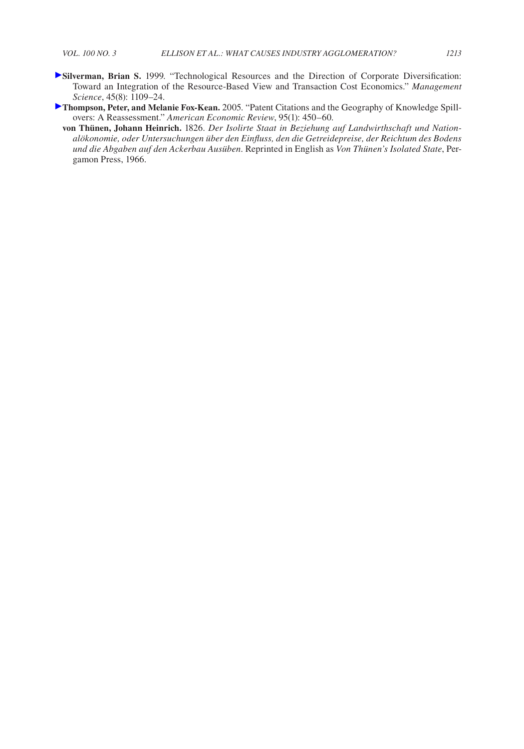- **Silverman, Brian S.** 1999. "Technological Resources and the Direction of Corporate Diversification: Toward an Integration of the Resource-Based View and Transaction Cost Economics." *Management Science*, 45(8): 1109–24.
- **Thompson, Peter, and Melanie Fox-Kean.** 2005. "Patent Citations and the Geography of Knowledge Spillovers: A Reassessment." *American Economic Review*, 95(1): 450–60.
	- **von Thünen, Johann Heinrich.** 1826. *Der Isolirte Staat in Beziehung auf Landwirthschaft und Nationalökonomie, oder Untersuchungen über den Einfluss, den die Getreidepreise, der Reichtum des Bodens und die Abgaben auf den Ackerbau Ausüben*. Reprinted in English as *Von Thünen's Isolated State*, Pergamon Press, 1966.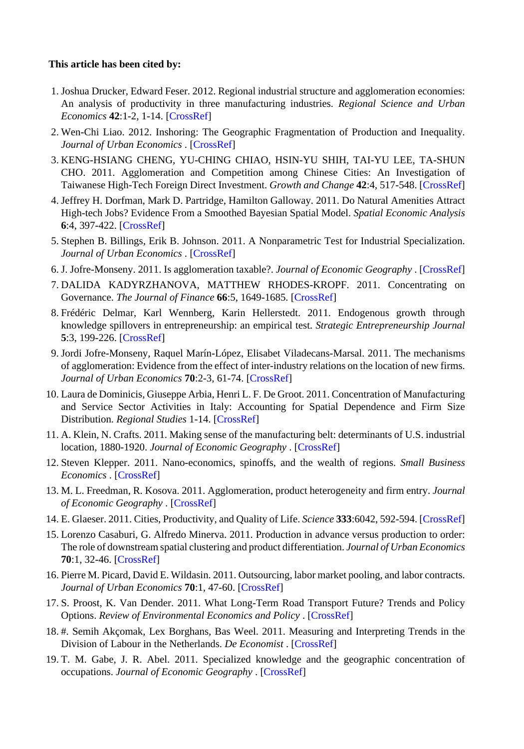# **This article has been cited by:**

- 1. Joshua Drucker, Edward Feser. 2012. Regional industrial structure and agglomeration economies: An analysis of productivity in three manufacturing industries. *Regional Science and Urban Economics* **42**:1-2, 1-14. [[CrossRef](http://dx.doi.org/10.1016/j.regsciurbeco.2011.04.006)]
- 2. Wen-Chi Liao. 2012. Inshoring: The Geographic Fragmentation of Production and Inequality. *Journal of Urban Economics* . [[CrossRef](http://dx.doi.org/10.1016/j.jue.2012.01.001)]
- 3. KENG-HSIANG CHENG, YU-CHING CHIAO, HSIN-YU SHIH, TAI-YU LEE, TA-SHUN CHO. 2011. Agglomeration and Competition among Chinese Cities: An Investigation of Taiwanese High-Tech Foreign Direct Investment. *Growth and Change* **42**:4, 517-548. [[CrossRef\]](http://dx.doi.org/10.1111/j.1468-2257.2011.00566.x)
- 4. Jeffrey H. Dorfman, Mark D. Partridge, Hamilton Galloway. 2011. Do Natural Amenities Attract High-tech Jobs? Evidence From a Smoothed Bayesian Spatial Model. *Spatial Economic Analysis* **6**:4, 397-422. [\[CrossRef](http://dx.doi.org/10.1080/17421772.2011.610811)]
- 5.Stephen B. Billings, Erik B. Johnson. 2011. A Nonparametric Test for Industrial Specialization. *Journal of Urban Economics* . [[CrossRef](http://dx.doi.org/10.1016/j.jue.2011.12.001)]
- 6. J. Jofre-Monseny. 2011. Is agglomeration taxable?. *Journal of Economic Geography* . [[CrossRef\]](http://dx.doi.org/10.1093/jeg/lbr032)
- 7. DALIDA KADYRZHANOVA, MATTHEW RHODES-KROPF. 2011. Concentrating on Governance. *The Journal of Finance* **66**:5, 1649-1685. [\[CrossRef](http://dx.doi.org/10.1111/j.1540-6261.2011.01684.x)]
- 8.Frédéric Delmar, Karl Wennberg, Karin Hellerstedt. 2011. Endogenous growth through knowledge spillovers in entrepreneurship: an empirical test. *Strategic Entrepreneurship Journal* **5**:3, 199-226. [\[CrossRef](http://dx.doi.org/10.1002/sej.114)]
- 9. Jordi Jofre-Monseny, Raquel Marín-López, Elisabet Viladecans-Marsal. 2011. The mechanisms of agglomeration: Evidence from the effect of inter-industry relations on the location of new firms. *Journal of Urban Economics* **70**:2-3, 61-74. [\[CrossRef\]](http://dx.doi.org/10.1016/j.jue.2011.05.002)
- 10. Laura de Dominicis, Giuseppe Arbia, Henri L. F. De Groot. 2011. Concentration of Manufacturing and Service Sector Activities in Italy: Accounting for Spatial Dependence and Firm Size Distribution. *Regional Studies* 1-14. [[CrossRef\]](http://dx.doi.org/10.1080/00343404.2011.579593)
- 11. A. Klein, N. Crafts. 2011. Making sense of the manufacturing belt: determinants of U.S. industrial location, 1880-1920. *Journal of Economic Geography* . [\[CrossRef\]](http://dx.doi.org/10.1093/jeg/lbr023)
- 12.Steven Klepper. 2011. Nano-economics, spinoffs, and the wealth of regions. *Small Business Economics* . [\[CrossRef\]](http://dx.doi.org/10.1007/s11187-011-9352-5)
- 13. M. L. Freedman, R. Kosova. 2011. Agglomeration, product heterogeneity and firm entry. *Journal of Economic Geography* . [\[CrossRef\]](http://dx.doi.org/10.1093/jeg/lbr022)
- 14. E. Glaeser. 2011. Cities, Productivity, and Quality of Life. *Science* **333**:6042, 592-594. [[CrossRef\]](http://dx.doi.org/10.1126/science.1209264)
- 15. Lorenzo Casaburi, G. Alfredo Minerva. 2011. Production in advance versus production to order: The role of downstream spatial clustering and product differentiation. *Journal of Urban Economics* **70**:1, 32-46. [\[CrossRef](http://dx.doi.org/10.1016/j.jue.2011.01.003)]
- 16.Pierre M. Picard, David E. Wildasin. 2011. Outsourcing, labor market pooling, and labor contracts. *Journal of Urban Economics* **70**:1, 47-60. [\[CrossRef](http://dx.doi.org/10.1016/j.jue.2011.01.002)]
- 17.S. Proost, K. Van Dender. 2011. What Long-Term Road Transport Future? Trends and Policy Options. *Review of Environmental Economics and Policy* . [\[CrossRef](http://dx.doi.org/10.1093/reep/req022)]
- 18. #. Semih Akçomak, Lex Borghans, Bas Weel. 2011. Measuring and Interpreting Trends in the Division of Labour in the Netherlands. *De Economist* . [\[CrossRef\]](http://dx.doi.org/10.1007/s10645-011-9168-3)
- 19. T. M. Gabe, J. R. Abel. 2011. Specialized knowledge and the geographic concentration of occupations. *Journal of Economic Geography* . [[CrossRef\]](http://dx.doi.org/10.1093/jeg/lbr006)